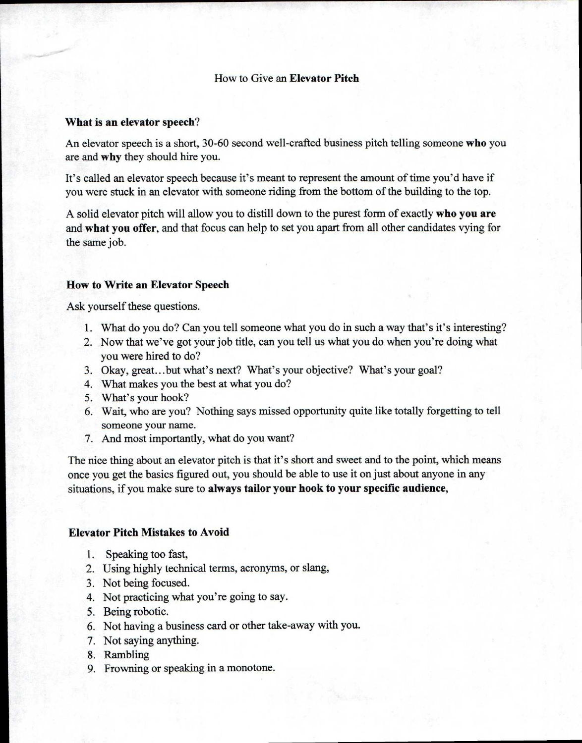## How to Give an **Elevator Pitch**

### **What is an elevator speech?**

An elevator speech is a short, 30-60 second well-crafted business pitch telling someone **who** you are and **why** they should hire you.

It's called an elevator speech because it's meant to represent the amount of time you'd have if you were stuck in an elevator with someone riding from the bottom of the building to the top.

A solid elevator pitch will allow you to distill down to the purest form of exactly **who you are**  and **what you offer,** and that focus can help to set you apart from all other candidates vying for the same job.

## **How to Write an Elevator Speech**

Ask yourself these questions.

- 1. What do you do? Can you tell someone what you do in such a way that's it's interesting?
- 2. Now that we've got your job title, can you tell us what you do when you're doing what you were hired to do?
- 3. Okay, great...but what's next? What's your objective? What's your goal?
- 4. What makes you the best at what you do?
- 5. What's your hook?
- 6. Wait, who are you? Nothing says missed opportunity quite like totally forgetting to tell someone your name.
- 7. And most importantly, what do you want?

The nice thing about an elevator pitch is that it's short and sweet and to the point, which means once you get the basics figured out, you should be able to use it on just about anyone in any situations, if you make sure to **always tailor your hook to your specific audience,** 

### **Elevator Pitch Mistakes to Avoid**

- 1. Speaking too fast,
- 2. Using highly technical terms, acronyms, or slang,
- 3. Not being focused.
- 4. Not practicing what you're going to say.
- 5. Being robotic.
- 6. Not having a business card or other take-away with you.
- 7. Not saying anything.
- 8. Rambling
- 9. Frowning or speaking in a monotone.